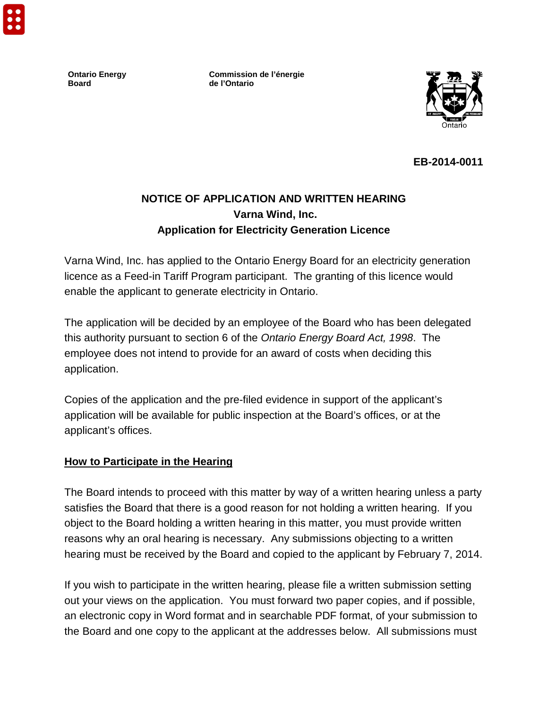**Ontario Energy Board**

**Commission de l'énergie de l'Ontario**



**EB-2014-0011**

# **NOTICE OF APPLICATION AND WRITTEN HEARING Varna Wind, Inc. Application for Electricity Generation Licence**

Varna Wind, Inc. has applied to the Ontario Energy Board for an electricity generation licence as a Feed-in Tariff Program participant. The granting of this licence would enable the applicant to generate electricity in Ontario.

The application will be decided by an employee of the Board who has been delegated this authority pursuant to section 6 of the *Ontario Energy Board Act, 1998*. The employee does not intend to provide for an award of costs when deciding this application.

Copies of the application and the pre-filed evidence in support of the applicant's application will be available for public inspection at the Board's offices, or at the applicant's offices.

#### **How to Participate in the Hearing**

The Board intends to proceed with this matter by way of a written hearing unless a party satisfies the Board that there is a good reason for not holding a written hearing. If you object to the Board holding a written hearing in this matter, you must provide written reasons why an oral hearing is necessary. Any submissions objecting to a written hearing must be received by the Board and copied to the applicant by February 7, 2014.

If you wish to participate in the written hearing, please file a written submission setting out your views on the application. You must forward two paper copies, and if possible, an electronic copy in Word format and in searchable PDF format, of your submission to the Board and one copy to the applicant at the addresses below. All submissions must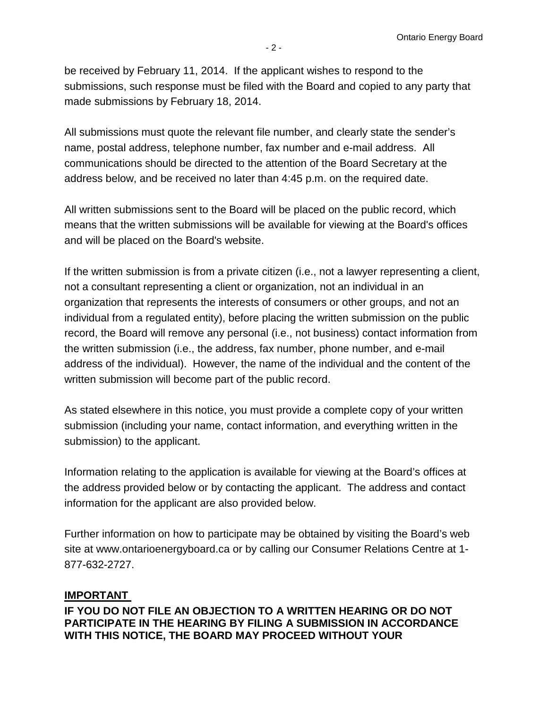be received by February 11, 2014. If the applicant wishes to respond to the submissions, such response must be filed with the Board and copied to any party that made submissions by February 18, 2014.

All submissions must quote the relevant file number, and clearly state the sender's name, postal address, telephone number, fax number and e-mail address. All communications should be directed to the attention of the Board Secretary at the address below, and be received no later than 4:45 p.m. on the required date.

All written submissions sent to the Board will be placed on the public record, which means that the written submissions will be available for viewing at the Board's offices and will be placed on the Board's website.

If the written submission is from a private citizen (i.e., not a lawyer representing a client, not a consultant representing a client or organization, not an individual in an organization that represents the interests of consumers or other groups, and not an individual from a regulated entity), before placing the written submission on the public record, the Board will remove any personal (i.e., not business) contact information from the written submission (i.e., the address, fax number, phone number, and e-mail address of the individual). However, the name of the individual and the content of the written submission will become part of the public record.

As stated elsewhere in this notice, you must provide a complete copy of your written submission (including your name, contact information, and everything written in the submission) to the applicant.

Information relating to the application is available for viewing at the Board's offices at the address provided below or by contacting the applicant. The address and contact information for the applicant are also provided below.

Further information on how to participate may be obtained by visiting the Board's web site at [www.ontarioenergyboard.ca](http://www.oeb.gov.on.ca/) or by calling our Consumer Relations Centre at 1- 877-632-2727.

## **IMPORTANT**

**IF YOU DO NOT FILE AN OBJECTION TO A WRITTEN HEARING OR DO NOT PARTICIPATE IN THE HEARING BY FILING A SUBMISSION IN ACCORDANCE WITH THIS NOTICE, THE BOARD MAY PROCEED WITHOUT YOUR**